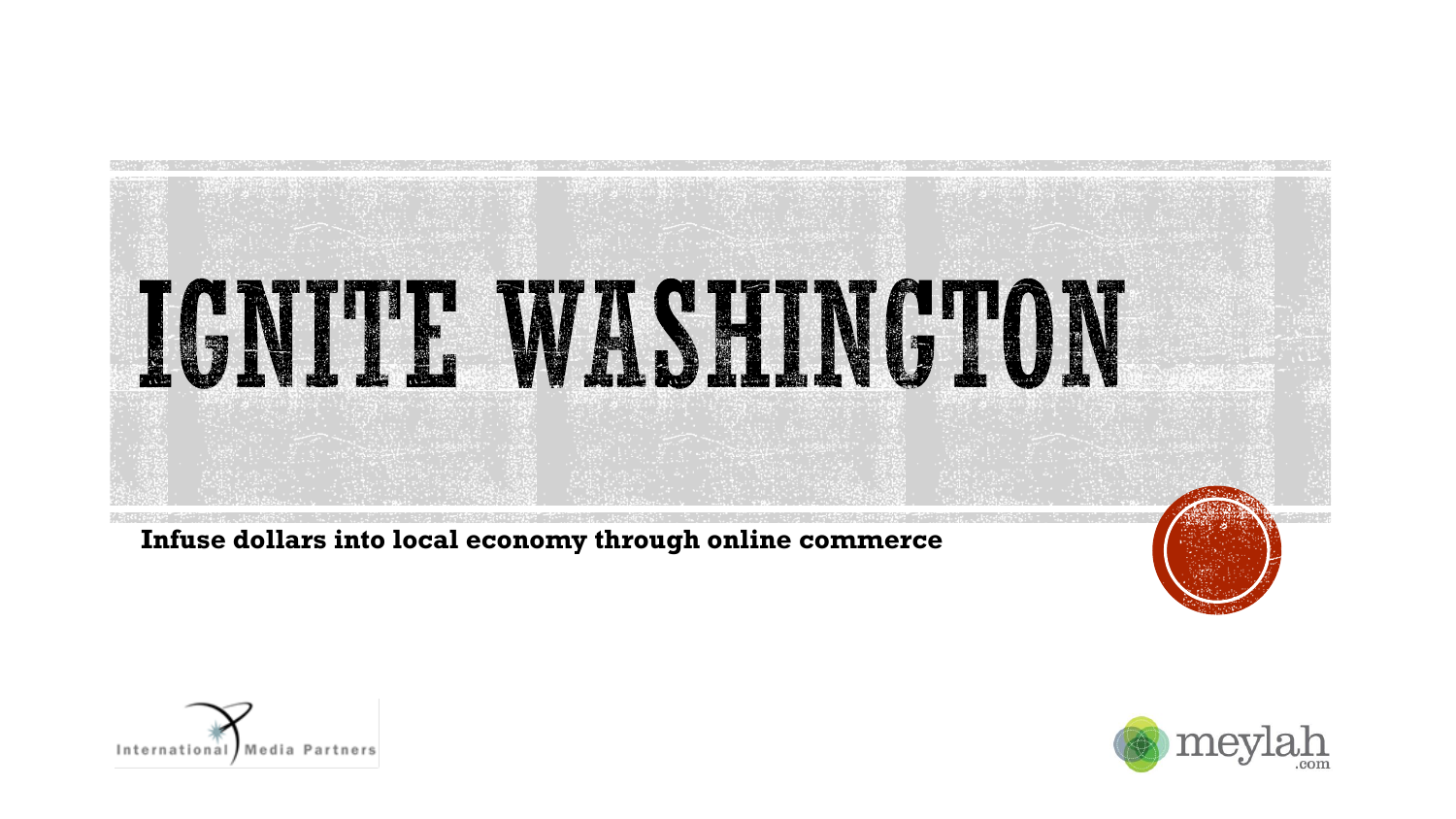

**Infuse dollars into local economy through online commerce**



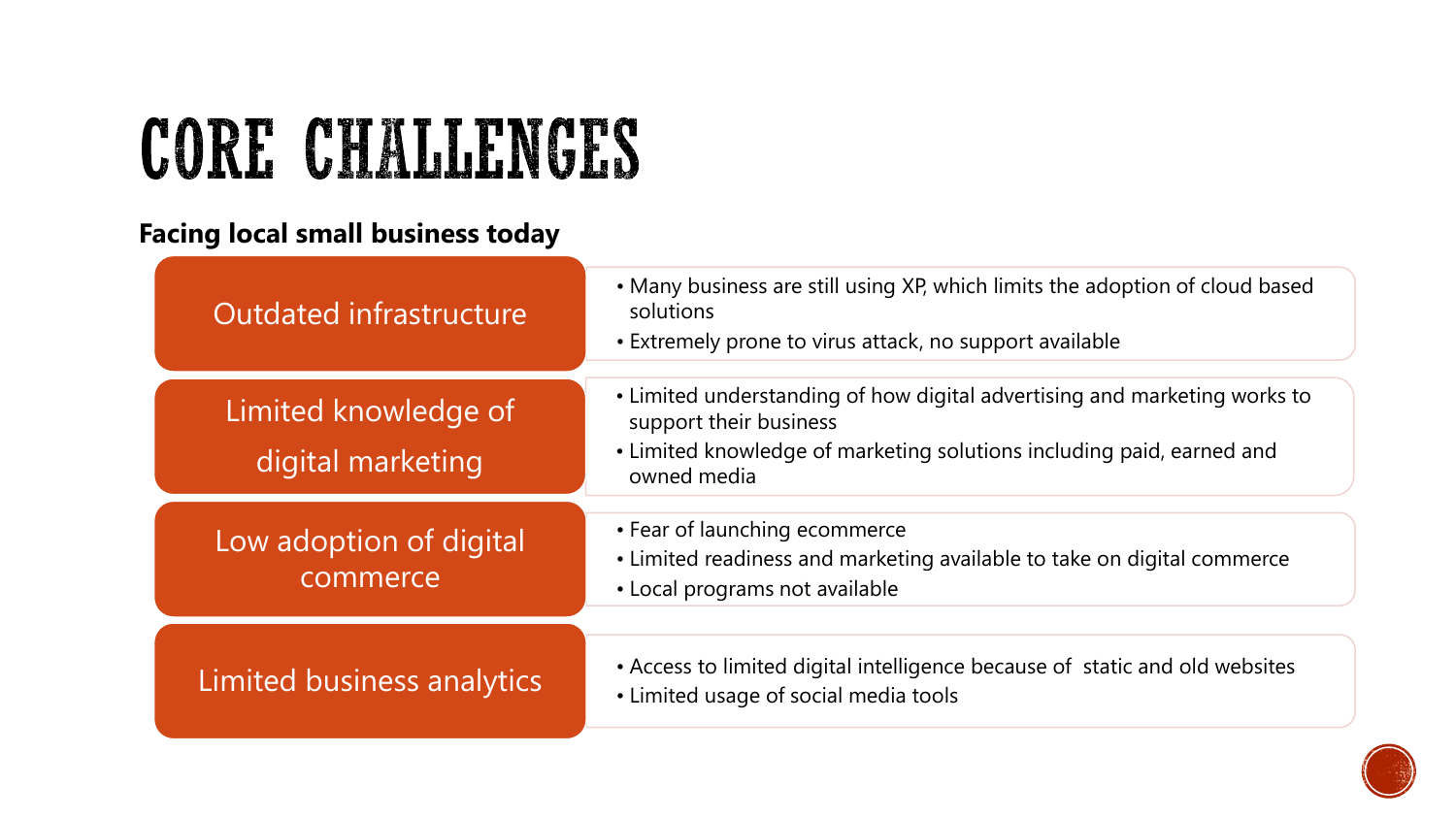## CORE CHALLENGES

#### **Facing local small business today**

| Outdated infrastructure                   | • Many business are still using XP, which limits the adoption of cloud based<br>solutions<br>• Extremely prone to virus attack, no support available                                        |
|-------------------------------------------|---------------------------------------------------------------------------------------------------------------------------------------------------------------------------------------------|
| Limited knowledge of<br>digital marketing | • Limited understanding of how digital advertising and marketing works to<br>support their business<br>• Limited knowledge of marketing solutions including paid, earned and<br>owned media |
| Low adoption of digital<br>commerce       | • Fear of launching ecommerce<br>• Limited readiness and marketing available to take on digital commerce<br>• Local programs not available                                                  |
| Limited business analytics                | • Access to limited digital intelligence because of static and old websites<br>• Limited usage of social media tools                                                                        |

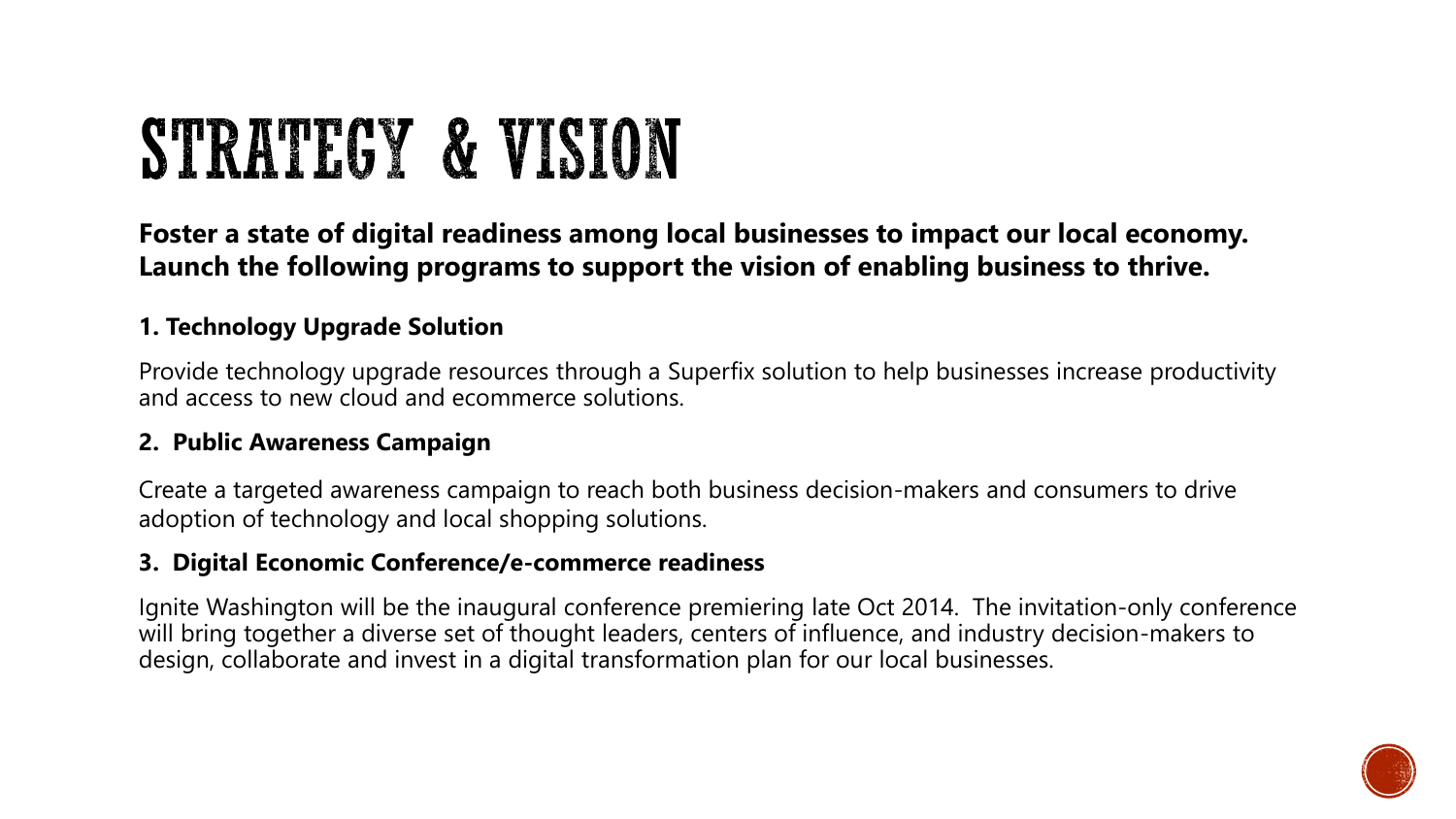## STRATEGY & VISION

**Foster a state of digital readiness among local businesses to impact our local economy. Launch the following programs to support the vision of enabling business to thrive.**

#### **1. Technology Upgrade Solution**

Provide technology upgrade resources through a Superfix solution to help businesses increase productivity and access to new cloud and ecommerce solutions.

#### **2. Public Awareness Campaign**

Create a targeted awareness campaign to reach both business decision-makers and consumers to drive adoption of technology and local shopping solutions.

#### **3. Digital Economic Conference/e-commerce readiness**

Ignite Washington will be the inaugural conference premiering late Oct 2014. The invitation-only conference will bring together a diverse set of thought leaders, centers of influence, and industry decision-makers to design, collaborate and invest in a digital transformation plan for our local businesses.

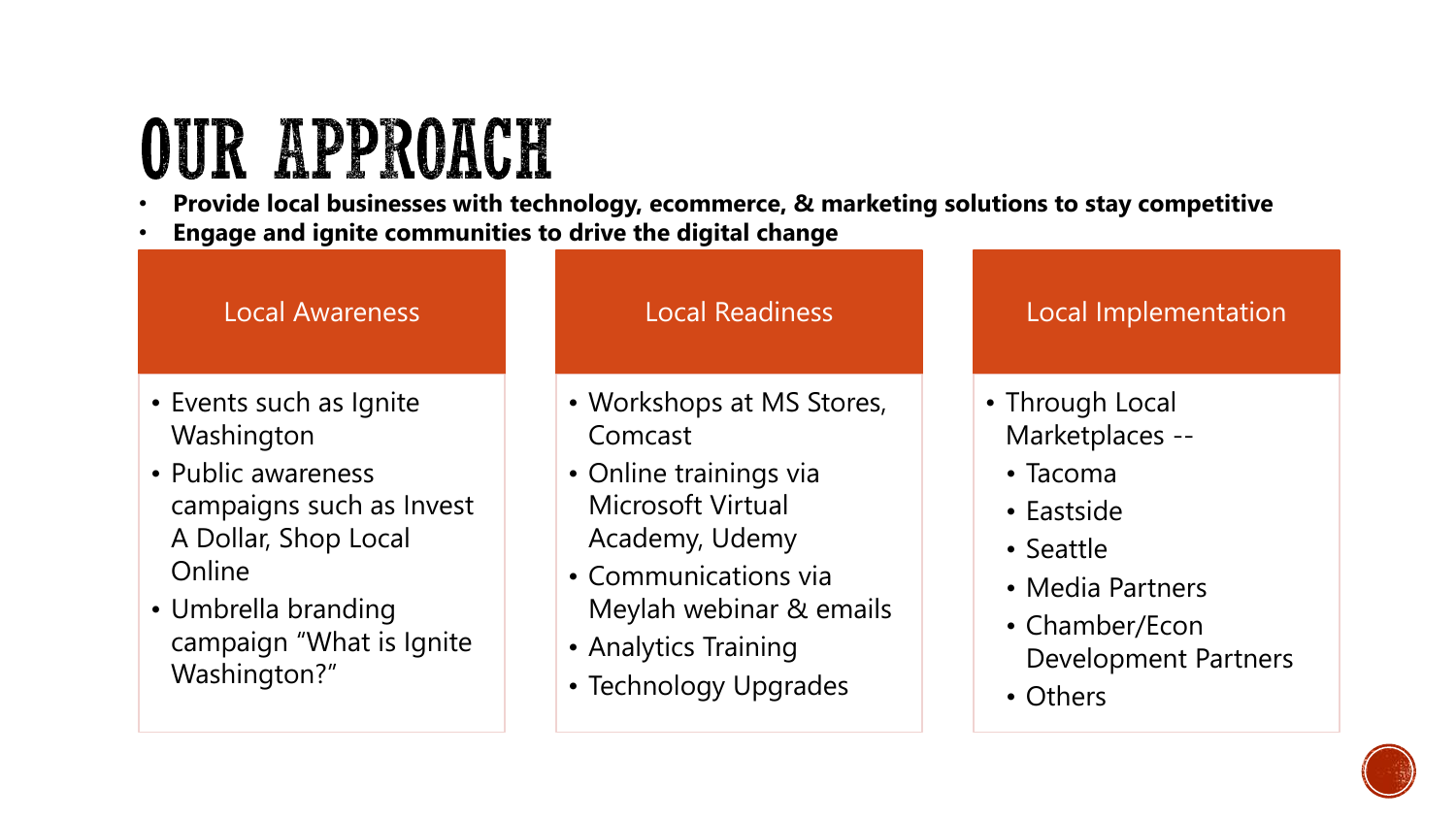## **OUR APPROACH**

- **Provide local businesses with technology, ecommerce, & marketing solutions to stay competitive**
- **Engage and ignite communities to drive the digital change**

#### Local Awareness

- Events such as Ignite **Washington**
- Public awareness campaigns such as Invest A Dollar, Shop Local **Online**
- Umbrella branding campaign "What is Ignite Washington?"

#### Local Readiness

- Workshops at MS Stores, Comcast
- Online trainings via Microsoft Virtual Academy, Udemy
- Communications via Meylah webinar & emails
- Analytics Training
- Technology Upgrades

#### Local Implementation

- Through Local Marketplaces --
	- Tacoma
	- Eastside
	- Seattle
	- Media Partners
	- Chamber/Econ Development Partners
	- Others

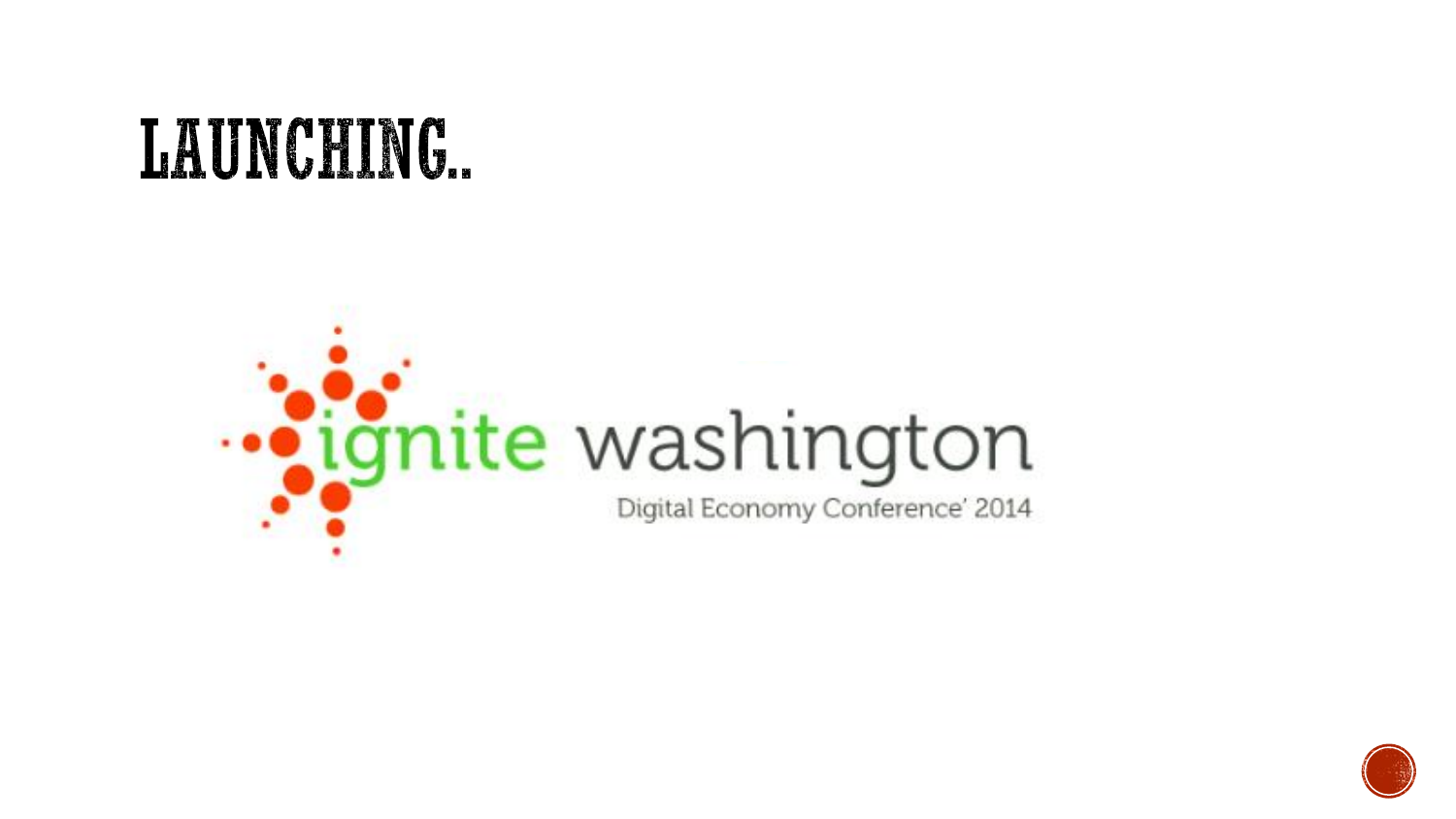## LAUNCHING.

# ... ignite washington Digital Economy Conference' 2014

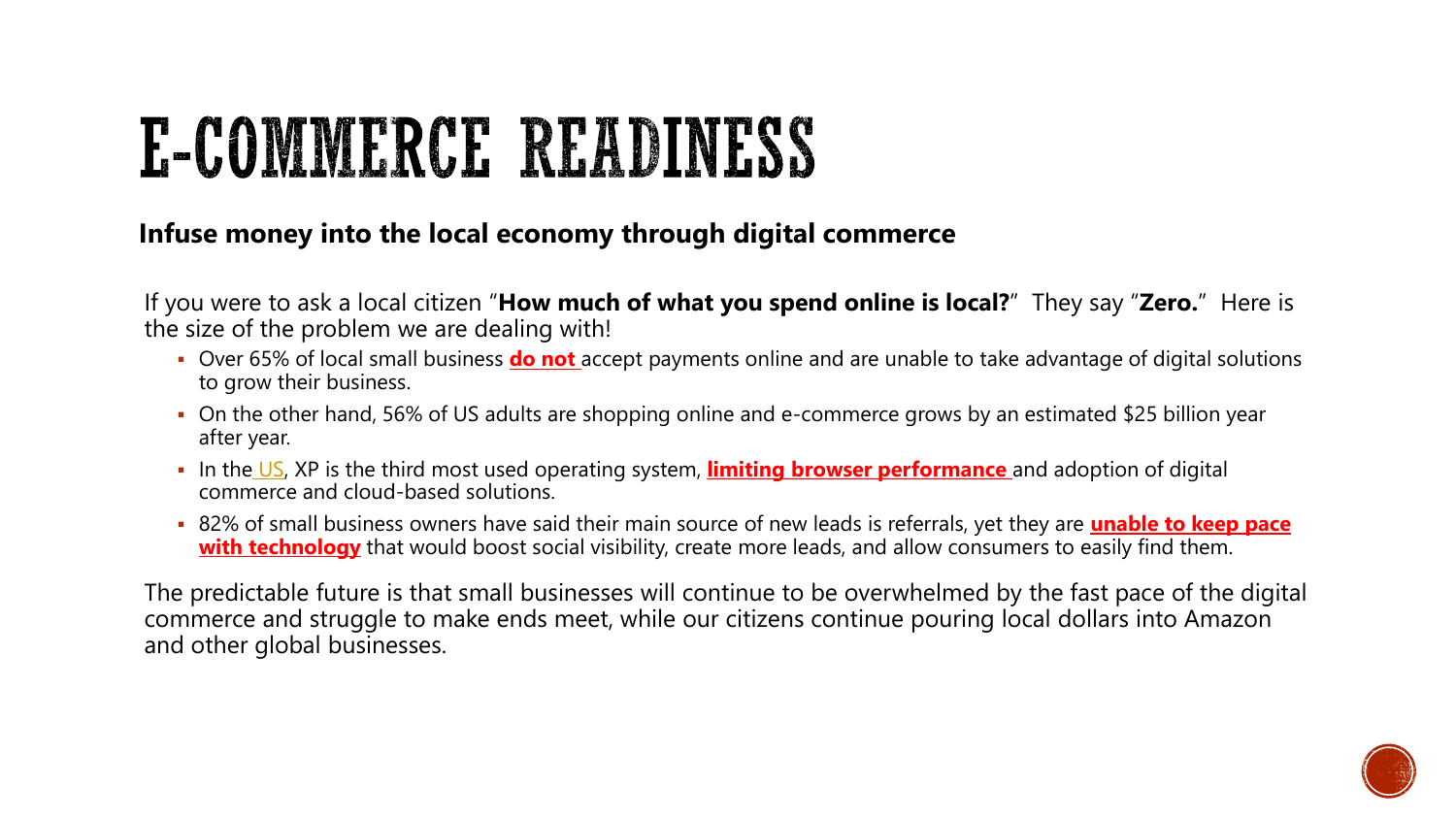## E-COMMERCE READINESS

#### **Infuse money into the local economy through digital commerce**

If you were to ask a local citizen "**How much of what you spend online is local?**" They say "**Zero.**" Here is the size of the problem we are dealing with!

- Over 65% of local small business **do not** accept payments online and are unable to take advantage of digital solutions to grow their business.
- On the other hand, 56% of US adults are shopping online and e-commerce grows by an estimated \$25 billion year after year.
- In the [US](http://gs.statcounter.com/#desktop-os-US-monthly-201403-201403-bar), XP is the third most used operating system, **limiting browser performance** and adoption of digital commerce and cloud-based solutions.
- 82% of small business owners have said their main source of new leads is referrals, yet they are **unable to keep pace with technology** that would boost social visibility, create more leads, and allow consumers to easily find them.

The predictable future is that small businesses will continue to be overwhelmed by the fast pace of the digital commerce and struggle to make ends meet, while our citizens continue pouring local dollars into Amazon and other global businesses.

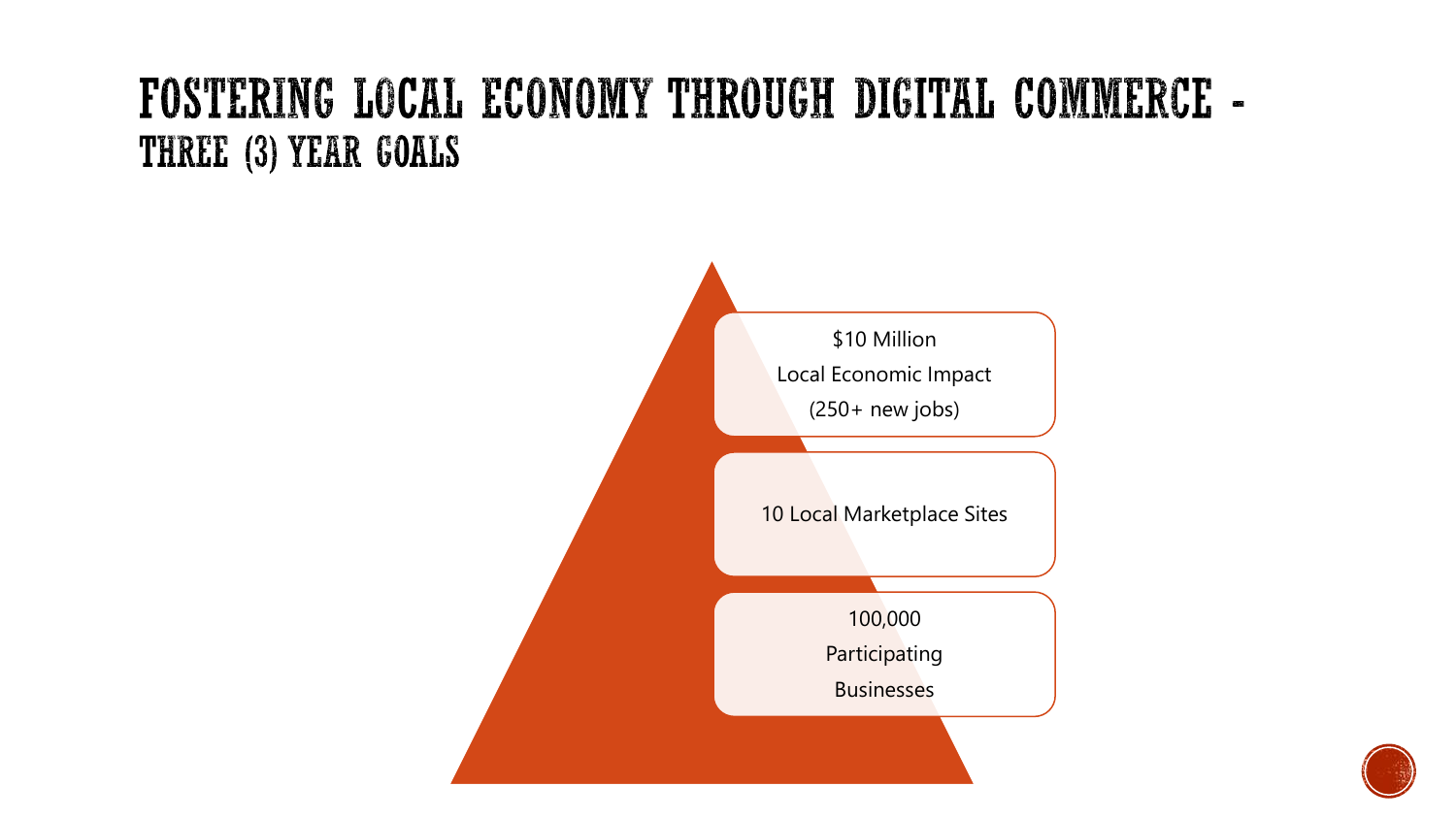### FOSTERING LOCAL ECONOMY THROUGH DIGITAL COMMERCE -THREE (3) YEAR GOALS